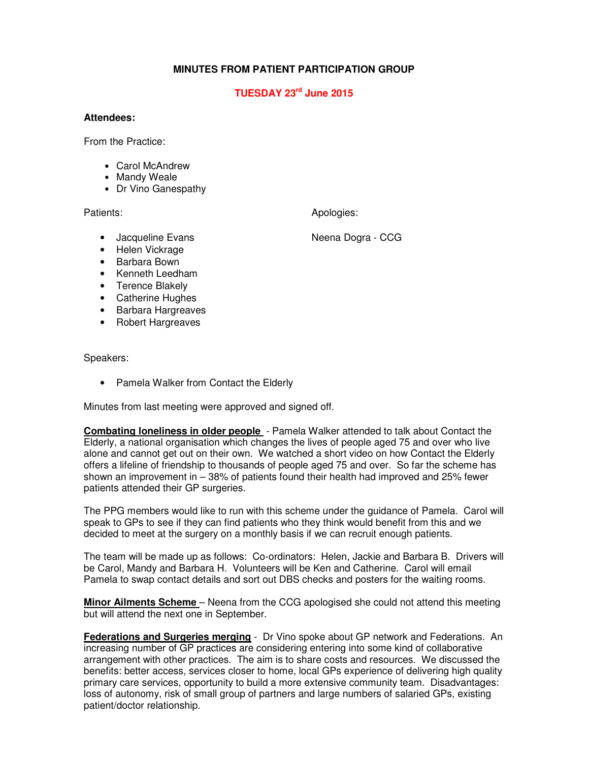## **MINUTES FROM PATIENT PARTICIPATION GROUP**

## **TUESDAY 23rd June 2015**

## **Attendees:**

From the Practice:

- Carol McAndrew
- Mandy Weale
- Dr Vino Ganespathy

Patients: Apologies: Apologies: Apologies: Apologies: Apologies: Apologies: Apologies: Apologies: Apologies: Apologies: Apologies: Apologies: Apologies: Apologies: Apologies: Apologies: Apologies: Apologies: Apologies: Apo

- Jacqueline Evans Neena Dogra CCG
- Helen Vickrage
- Barbara Bown
- Kenneth Leedham
- Terence Blakely
- Catherine Hughes
- Barbara Hargreaves
- Robert Hargreaves

Speakers:

• Pamela Walker from Contact the Elderly

Minutes from last meeting were approved and signed off.

**Combating loneliness in older people** - Pamela Walker attended to talk about Contact the Elderly, a national organisation which changes the lives of people aged 75 and over who live alone and cannot get out on their own. We watched a short video on how Contact the Elderly offers a lifeline of friendship to thousands of people aged 75 and over. So far the scheme has shown an improvement in – 38% of patients found their health had improved and 25% fewer patients attended their GP surgeries.

The PPG members would like to run with this scheme under the guidance of Pamela. Carol will speak to GPs to see if they can find patients who they think would benefit from this and we decided to meet at the surgery on a monthly basis if we can recruit enough patients.

The team will be made up as follows: Co-ordinators: Helen, Jackie and Barbara B. Drivers will be Carol, Mandy and Barbara H. Volunteers will be Ken and Catherine. Carol will email Pamela to swap contact details and sort out DBS checks and posters for the waiting rooms.

**Minor Ailments Scheme** – Neena from the CCG apologised she could not attend this meeting but will attend the next one in September.

**Federations and Surgeries merging** - Dr Vino spoke about GP network and Federations. An increasing number of GP practices are considering entering into some kind of collaborative arrangement with other practices. The aim is to share costs and resources. We discussed the benefits: better access, services closer to home, local GPs experience of delivering high quality primary care services, opportunity to build a more extensive community team. Disadvantages: loss of autonomy, risk of small group of partners and large numbers of salaried GPs, existing patient/doctor relationship.